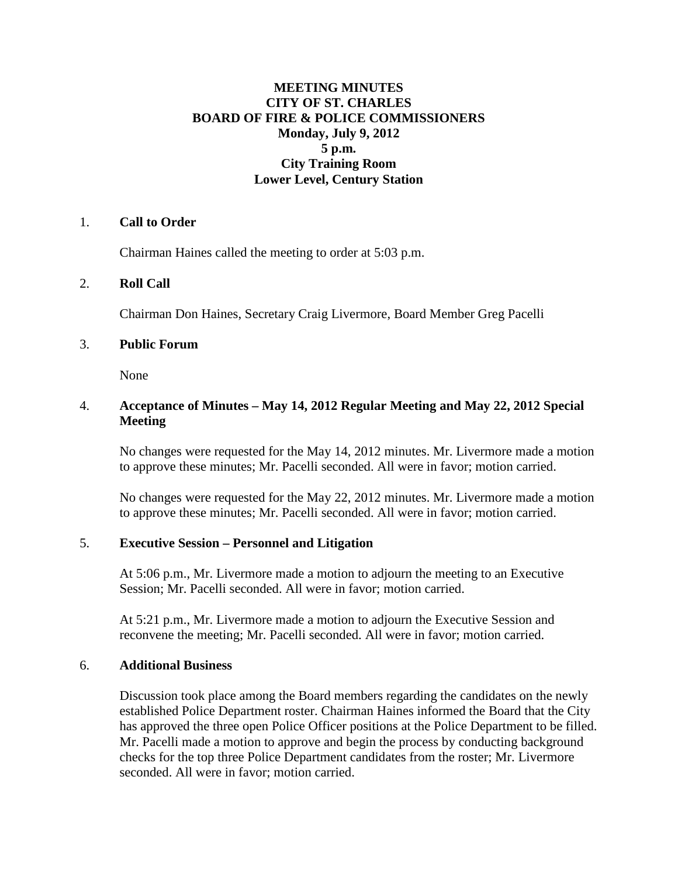# **MEETING MINUTES CITY OF ST. CHARLES BOARD OF FIRE & POLICE COMMISSIONERS Monday, July 9, 2012 5 p.m. City Training Room Lower Level, Century Station**

# 1. **Call to Order**

Chairman Haines called the meeting to order at 5:03 p.m.

### 2. **Roll Call**

Chairman Don Haines, Secretary Craig Livermore, Board Member Greg Pacelli

### 3. **Public Forum**

None

# 4. **Acceptance of Minutes – May 14, 2012 Regular Meeting and May 22, 2012 Special Meeting**

No changes were requested for the May 14, 2012 minutes. Mr. Livermore made a motion to approve these minutes; Mr. Pacelli seconded. All were in favor; motion carried.

No changes were requested for the May 22, 2012 minutes. Mr. Livermore made a motion to approve these minutes; Mr. Pacelli seconded. All were in favor; motion carried.

### 5. **Executive Session – Personnel and Litigation**

At 5:06 p.m., Mr. Livermore made a motion to adjourn the meeting to an Executive Session; Mr. Pacelli seconded. All were in favor; motion carried.

At 5:21 p.m., Mr. Livermore made a motion to adjourn the Executive Session and reconvene the meeting; Mr. Pacelli seconded. All were in favor; motion carried.

### 6. **Additional Business**

Discussion took place among the Board members regarding the candidates on the newly established Police Department roster. Chairman Haines informed the Board that the City has approved the three open Police Officer positions at the Police Department to be filled. Mr. Pacelli made a motion to approve and begin the process by conducting background checks for the top three Police Department candidates from the roster; Mr. Livermore seconded. All were in favor; motion carried.